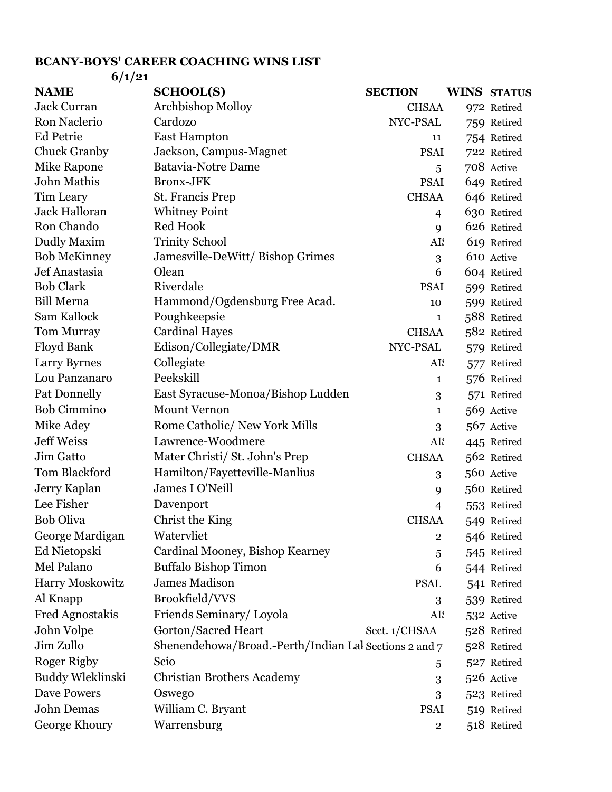## **BCANY-BOYS' CAREER COACHING WINS LIST 6/1/21**

| 0/1/21                            |                                                                                                                                                                                                                                                |                    |                                                                                                                                                                                                               |
|-----------------------------------|------------------------------------------------------------------------------------------------------------------------------------------------------------------------------------------------------------------------------------------------|--------------------|---------------------------------------------------------------------------------------------------------------------------------------------------------------------------------------------------------------|
| <b>SCHOOL(S)</b>                  | <b>SECTION</b>                                                                                                                                                                                                                                 |                    | <b>WINS STATUS</b>                                                                                                                                                                                            |
| <b>Archbishop Molloy</b>          |                                                                                                                                                                                                                                                |                    | 972 Retired                                                                                                                                                                                                   |
| Cardozo                           | NYC-PSAL                                                                                                                                                                                                                                       |                    | 759 Retired                                                                                                                                                                                                   |
| <b>East Hampton</b>               | 11                                                                                                                                                                                                                                             |                    | 754 Retired                                                                                                                                                                                                   |
| Jackson, Campus-Magnet            |                                                                                                                                                                                                                                                |                    | 722 Retired                                                                                                                                                                                                   |
|                                   | 5                                                                                                                                                                                                                                              |                    | 708 Active                                                                                                                                                                                                    |
| <b>Bronx-JFK</b>                  |                                                                                                                                                                                                                                                |                    | 649 Retired                                                                                                                                                                                                   |
| St. Francis Prep                  |                                                                                                                                                                                                                                                |                    | 646 Retired                                                                                                                                                                                                   |
| <b>Whitney Point</b>              | $\overline{4}$                                                                                                                                                                                                                                 |                    | 630 Retired                                                                                                                                                                                                   |
|                                   | 9                                                                                                                                                                                                                                              |                    | 626 Retired                                                                                                                                                                                                   |
|                                   |                                                                                                                                                                                                                                                |                    | 619 Retired                                                                                                                                                                                                   |
| Jamesville-DeWitt/Bishop Grimes   | 3                                                                                                                                                                                                                                              |                    | 610 Active                                                                                                                                                                                                    |
|                                   | 6                                                                                                                                                                                                                                              |                    | 604 Retired                                                                                                                                                                                                   |
|                                   |                                                                                                                                                                                                                                                |                    | 599 Retired                                                                                                                                                                                                   |
|                                   | 10                                                                                                                                                                                                                                             |                    | 599 Retired                                                                                                                                                                                                   |
|                                   | 1                                                                                                                                                                                                                                              |                    | 588 Retired                                                                                                                                                                                                   |
|                                   |                                                                                                                                                                                                                                                |                    | 582 Retired                                                                                                                                                                                                   |
|                                   |                                                                                                                                                                                                                                                |                    | 579 Retired                                                                                                                                                                                                   |
|                                   |                                                                                                                                                                                                                                                |                    | 577 Retired                                                                                                                                                                                                   |
|                                   | 1                                                                                                                                                                                                                                              |                    | 576 Retired                                                                                                                                                                                                   |
| East Syracuse-Monoa/Bishop Ludden | 3                                                                                                                                                                                                                                              |                    | 571 Retired                                                                                                                                                                                                   |
| <b>Mount Vernon</b>               | $\mathbf{1}$                                                                                                                                                                                                                                   |                    | 569 Active                                                                                                                                                                                                    |
| Rome Catholic/ New York Mills     | 3                                                                                                                                                                                                                                              |                    | 567 Active                                                                                                                                                                                                    |
| Lawrence-Woodmere                 |                                                                                                                                                                                                                                                |                    | 445 Retired                                                                                                                                                                                                   |
| Mater Christi/ St. John's Prep    |                                                                                                                                                                                                                                                |                    | 562 Retired                                                                                                                                                                                                   |
| Hamilton/Fayetteville-Manlius     | 3                                                                                                                                                                                                                                              |                    | 560 Active                                                                                                                                                                                                    |
| James I O'Neill                   | 9                                                                                                                                                                                                                                              |                    | 560 Retired                                                                                                                                                                                                   |
| Davenport                         | 4                                                                                                                                                                                                                                              |                    | 553 Retired                                                                                                                                                                                                   |
| Christ the King                   | <b>CHSAA</b>                                                                                                                                                                                                                                   |                    | 549 Retired                                                                                                                                                                                                   |
| Watervliet                        | $\mathbf{2}$                                                                                                                                                                                                                                   |                    | 546 Retired                                                                                                                                                                                                   |
| Cardinal Mooney, Bishop Kearney   | 5                                                                                                                                                                                                                                              |                    | 545 Retired                                                                                                                                                                                                   |
| <b>Buffalo Bishop Timon</b>       | 6                                                                                                                                                                                                                                              |                    | 544 Retired                                                                                                                                                                                                   |
| <b>James Madison</b>              | <b>PSAL</b>                                                                                                                                                                                                                                    |                    | 541 Retired                                                                                                                                                                                                   |
| Brookfield/VVS                    | 3                                                                                                                                                                                                                                              |                    | 539 Retired                                                                                                                                                                                                   |
| Friends Seminary/Loyola           |                                                                                                                                                                                                                                                |                    | 532 Active                                                                                                                                                                                                    |
| Gorton/Sacred Heart               | Sect. 1/CHSAA                                                                                                                                                                                                                                  |                    | 528 Retired                                                                                                                                                                                                   |
|                                   |                                                                                                                                                                                                                                                |                    | 528 Retired                                                                                                                                                                                                   |
| Scio                              |                                                                                                                                                                                                                                                |                    | 527 Retired                                                                                                                                                                                                   |
| <b>Christian Brothers Academy</b> | 3                                                                                                                                                                                                                                              |                    | 526 Active                                                                                                                                                                                                    |
| Oswego                            |                                                                                                                                                                                                                                                |                    | 523 Retired                                                                                                                                                                                                   |
|                                   |                                                                                                                                                                                                                                                |                    | 519 Retired                                                                                                                                                                                                   |
| Warrensburg                       | $\overline{\mathbf{2}}$                                                                                                                                                                                                                        |                    | 518 Retired                                                                                                                                                                                                   |
|                                   | <b>Batavia-Notre Dame</b><br><b>Red Hook</b><br><b>Trinity School</b><br>Olean<br>Riverdale<br>Hammond/Ogdensburg Free Acad.<br>Poughkeepsie<br><b>Cardinal Hayes</b><br>Edison/Collegiate/DMR<br>Collegiate<br>Peekskill<br>William C. Bryant | NYC-PSAL<br>5<br>3 | <b>CHSAA</b><br><b>PSAI</b><br><b>PSAI</b><br><b>CHSAA</b><br>AIS<br><b>PSAI</b><br><b>CHSAA</b><br>AI.<br>AIS<br><b>CHSAA</b><br>AI.<br>Shenendehowa/Broad.-Perth/Indian Lal Sections 2 and 7<br><b>PSAI</b> |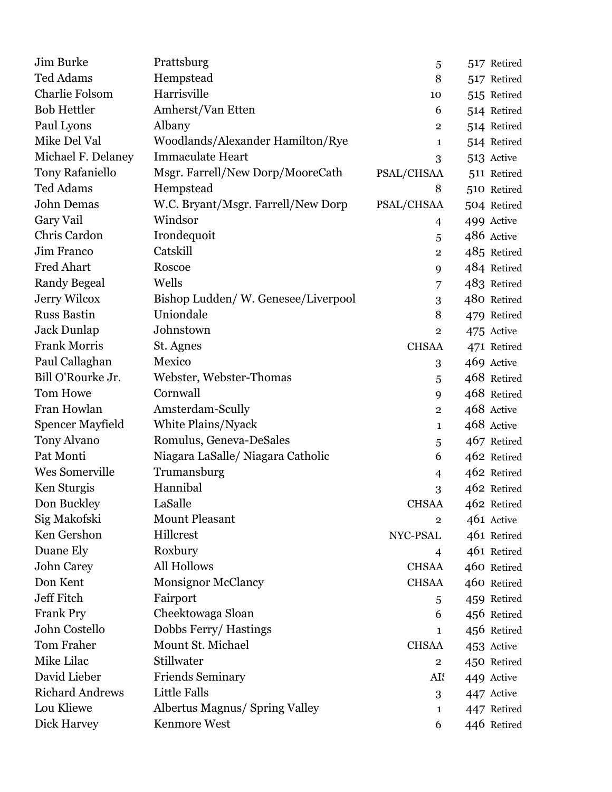| Jim Burke              | Prattsburg                            | 5              | 517 Retired |
|------------------------|---------------------------------------|----------------|-------------|
| <b>Ted Adams</b>       | Hempstead                             | 8              | 517 Retired |
| <b>Charlie Folsom</b>  | Harrisville                           | 10             | 515 Retired |
| <b>Bob Hettler</b>     | Amherst/Van Etten                     | 6              | 514 Retired |
| Paul Lyons             | Albany                                | $\mathbf{2}$   | 514 Retired |
| Mike Del Val           | Woodlands/Alexander Hamilton/Rye      | 1              | 514 Retired |
| Michael F. Delaney     | <b>Immaculate Heart</b>               | 3              | 513 Active  |
| <b>Tony Rafaniello</b> | Msgr. Farrell/New Dorp/MooreCath      | PSAL/CHSAA     | 511 Retired |
| <b>Ted Adams</b>       | Hempstead                             | 8              | 510 Retired |
| <b>John Demas</b>      | W.C. Bryant/Msgr. Farrell/New Dorp    | PSAL/CHSAA     | 504 Retired |
| Gary Vail              | Windsor                               | 4              | 499 Active  |
| Chris Cardon           | Irondequoit                           | 5              | 486 Active  |
| Jim Franco             | Catskill                              | $\mathbf{2}$   | 485 Retired |
| <b>Fred Ahart</b>      | Roscoe                                | 9              | 484 Retired |
| <b>Randy Begeal</b>    | Wells                                 | 7              | 483 Retired |
| <b>Jerry Wilcox</b>    | Bishop Ludden/W. Genesee/Liverpool    | 3              | 480 Retired |
| <b>Russ Bastin</b>     | Uniondale                             | 8              | 479 Retired |
| <b>Jack Dunlap</b>     | Johnstown                             | $\overline{2}$ | 475 Active  |
| <b>Frank Morris</b>    | St. Agnes                             | <b>CHSAA</b>   | 471 Retired |
| Paul Callaghan         | Mexico                                | 3              | 469 Active  |
| Bill O'Rourke Jr.      | Webster, Webster-Thomas               | 5              | 468 Retired |
| <b>Tom Howe</b>        | Cornwall                              | 9              | 468 Retired |
| Fran Howlan            | Amsterdam-Scully                      | $\overline{2}$ | 468 Active  |
| Spencer Mayfield       | White Plains/Nyack                    | 1              | 468 Active  |
| <b>Tony Alvano</b>     | Romulus, Geneva-DeSales               | 5              | 467 Retired |
| Pat Monti              | Niagara LaSalle/ Niagara Catholic     | 6              | 462 Retired |
| <b>Wes Somerville</b>  | Trumansburg                           | $\overline{4}$ | 462 Retired |
| Ken Sturgis            | Hannibal                              | 3              | 462 Retired |
| Don Buckley            | LaSalle                               | <b>CHSAA</b>   | 462 Retired |
| Sig Makofski           | <b>Mount Pleasant</b>                 | $\overline{2}$ | 461 Active  |
| Ken Gershon            | Hillcrest                             | NYC-PSAL       | 461 Retired |
| Duane Ely              | Roxbury                               | $\overline{4}$ | 461 Retired |
| <b>John Carey</b>      | All Hollows                           | <b>CHSAA</b>   | 460 Retired |
| Don Kent               | <b>Monsignor McClancy</b>             | <b>CHSAA</b>   | 460 Retired |
| Jeff Fitch             | Fairport                              | 5              | 459 Retired |
| <b>Frank Pry</b>       | Cheektowaga Sloan                     | 6              | 456 Retired |
| John Costello          | Dobbs Ferry/Hastings                  | 1              | 456 Retired |
| <b>Tom Fraher</b>      | Mount St. Michael                     | <b>CHSAA</b>   | 453 Active  |
| Mike Lilac             | Stillwater                            | $\overline{2}$ | 450 Retired |
| David Lieber           | <b>Friends Seminary</b>               | AI.            | 449 Active  |
| <b>Richard Andrews</b> | Little Falls                          | 3              | 447 Active  |
| Lou Kliewe             | <b>Albertus Magnus/ Spring Valley</b> | $\mathbf{1}$   | 447 Retired |
| Dick Harvey            | <b>Kenmore West</b>                   | 6              | 446 Retired |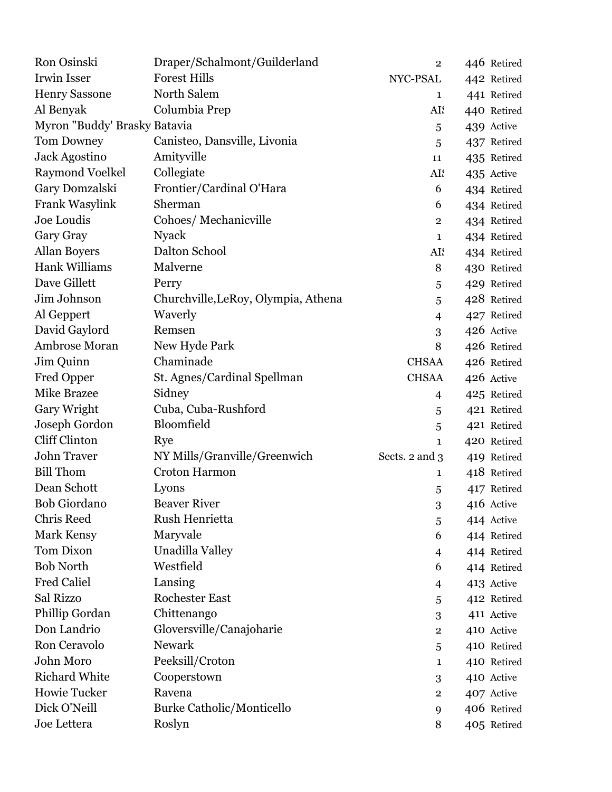| Ron Osinski                  | Draper/Schalmont/Guilderland        | $\overline{2}$ | 446 Retired |
|------------------------------|-------------------------------------|----------------|-------------|
| Irwin Isser                  | <b>Forest Hills</b>                 | NYC-PSAL       | 442 Retired |
| <b>Henry Sassone</b>         | North Salem                         | 1              | 441 Retired |
| Al Benyak                    | Columbia Prep                       | AI.            | 440 Retired |
| Myron "Buddy' Brasky Batavia |                                     | 5              | 439 Active  |
| <b>Tom Downey</b>            | Canisteo, Dansville, Livonia        | 5              | 437 Retired |
| Jack Agostino                | Amityville                          | 11             | 435 Retired |
| <b>Raymond Voelkel</b>       | Collegiate                          | AI.            | 435 Active  |
| Gary Domzalski               | Frontier/Cardinal O'Hara            | 6              | 434 Retired |
| Frank Wasylink               | Sherman                             | 6              | 434 Retired |
| Joe Loudis                   | Cohoes/ Mechanicville               | $\mathbf{2}$   | 434 Retired |
| Gary Gray                    | <b>Nyack</b>                        | 1              | 434 Retired |
| <b>Allan Boyers</b>          | Dalton School                       | AI.            | 434 Retired |
| <b>Hank Williams</b>         | Malverne                            | 8              | 430 Retired |
| Dave Gillett                 | Perry                               | 5              | 429 Retired |
| Jim Johnson                  | Churchville, LeRoy, Olympia, Athena | 5              | 428 Retired |
| Al Geppert                   | Waverly                             | $\overline{4}$ | 427 Retired |
| David Gaylord                | Remsen                              | 3              | 426 Active  |
| Ambrose Moran                | New Hyde Park                       | 8              | 426 Retired |
| Jim Quinn                    | Chaminade                           | <b>CHSAA</b>   | 426 Retired |
| Fred Opper                   | St. Agnes/Cardinal Spellman         | <b>CHSAA</b>   | 426 Active  |
| <b>Mike Brazee</b>           | Sidney                              | 4              | 425 Retired |
| Gary Wright                  | Cuba, Cuba-Rushford                 | 5              | 421 Retired |
| Joseph Gordon                | Bloomfield                          | 5              | 421 Retired |
| Cliff Clinton                | Rye                                 | $\mathbf{1}$   | 420 Retired |
| <b>John Traver</b>           | NY Mills/Granville/Greenwich        | Sects. 2 and 3 | 419 Retired |
| <b>Bill Thom</b>             | <b>Croton Harmon</b>                | 1              | 418 Retired |
| Dean Schott                  | Lyons                               | 5              | 417 Retired |
| <b>Bob Giordano</b>          | <b>Beaver River</b>                 | 3              | 416 Active  |
| <b>Chris Reed</b>            | Rush Henrietta                      | 5              | 414 Active  |
| Mark Kensy                   | Maryvale                            | 6              | 414 Retired |
| Tom Dixon                    | Unadilla Valley                     | 4              | 414 Retired |
| <b>Bob North</b>             | Westfield                           | 6              | 414 Retired |
| <b>Fred Caliel</b>           | Lansing                             | 4              | 413 Active  |
| Sal Rizzo                    | <b>Rochester East</b>               | 5              | 412 Retired |
| Phillip Gordan               | Chittenango                         | 3              | 411 Active  |
| Don Landrio                  | Gloversville/Canajoharie            | $\overline{2}$ | 410 Active  |
| Ron Ceravolo                 | <b>Newark</b>                       | 5              | 410 Retired |
| John Moro                    | Peeksill/Croton                     | 1              | 410 Retired |
| <b>Richard White</b>         | Cooperstown                         | 3              | 410 Active  |
| Howie Tucker                 | Ravena                              | 2              | 407 Active  |
| Dick O'Neill                 | Burke Catholic/Monticello           | 9              | 406 Retired |
| Joe Lettera                  | Roslyn                              | 8              | 405 Retired |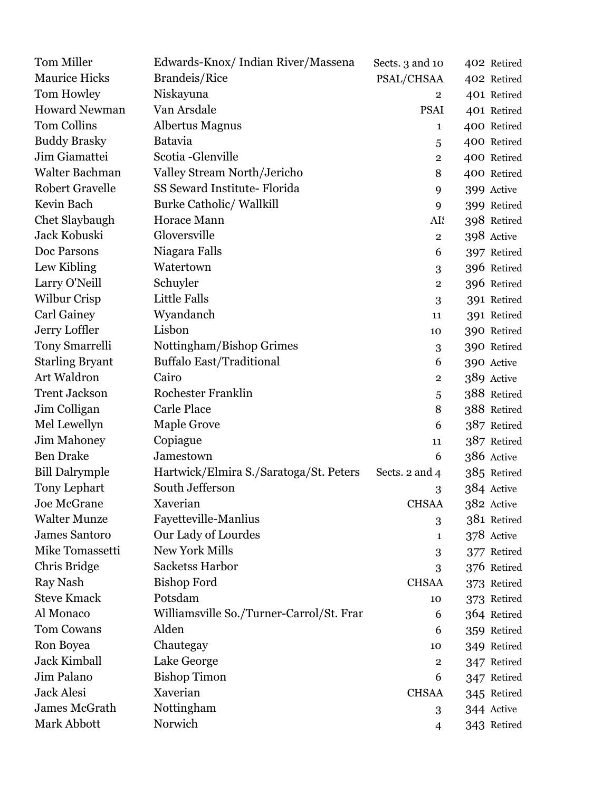| Tom Miller             | Edwards-Knox/Indian River/Massena        | Sects. 3 and 10         | 402 Retired |
|------------------------|------------------------------------------|-------------------------|-------------|
| <b>Maurice Hicks</b>   | Brandeis/Rice                            | PSAL/CHSAA              | 402 Retired |
| Tom Howley             | Niskayuna                                | $\mathbf{2}$            | 401 Retired |
| <b>Howard Newman</b>   | Van Arsdale                              | <b>PSAI</b>             | 401 Retired |
| Tom Collins            | <b>Albertus Magnus</b>                   | 1                       | 400 Retired |
| <b>Buddy Brasky</b>    | <b>Batavia</b>                           | 5                       | 400 Retired |
| Jim Giamattei          | Scotia-Glenville                         | $\overline{2}$          | 400 Retired |
| Walter Bachman         | Valley Stream North/Jericho              | 8                       | 400 Retired |
| <b>Robert Gravelle</b> | SS Seward Institute-Florida              | 9                       | 399 Active  |
| Kevin Bach             | <b>Burke Catholic/ Wallkill</b>          | 9                       | 399 Retired |
| Chet Slaybaugh         | <b>Horace Mann</b>                       | AI:                     | 398 Retired |
| Jack Kobuski           | Gloversville                             | $\overline{2}$          | 398 Active  |
| Doc Parsons            | Niagara Falls                            | 6                       | 397 Retired |
| Lew Kibling            | Watertown                                | 3                       | 396 Retired |
| Larry O'Neill          | Schuyler                                 | $\overline{2}$          | 396 Retired |
| <b>Wilbur Crisp</b>    | Little Falls                             | 3                       | 391 Retired |
| <b>Carl Gainey</b>     | Wyandanch                                | 11                      | 391 Retired |
| Jerry Loffler          | Lisbon                                   | 10                      | 390 Retired |
| <b>Tony Smarrelli</b>  | Nottingham/Bishop Grimes                 | 3                       | 390 Retired |
| <b>Starling Bryant</b> | <b>Buffalo East/Traditional</b>          | 6                       | 390 Active  |
| Art Waldron            | Cairo                                    | $\overline{\mathbf{2}}$ | 389 Active  |
| <b>Trent Jackson</b>   | Rochester Franklin                       | 5                       | 388 Retired |
| Jim Colligan           | <b>Carle Place</b>                       | 8                       | 388 Retired |
| Mel Lewellyn           | Maple Grove                              | 6                       | 387 Retired |
| <b>Jim Mahoney</b>     | Copiague                                 | 11                      | 387 Retired |
| <b>Ben Drake</b>       | Jamestown                                | 6                       | 386 Active  |
| <b>Bill Dalrymple</b>  | Hartwick/Elmira S./Saratoga/St. Peters   | Sects. 2 and 4          | 385 Retired |
| <b>Tony Lephart</b>    | South Jefferson                          | 3                       | 384 Active  |
| Joe McGrane            | Xaverian                                 | <b>CHSAA</b>            | 382 Active  |
| <b>Walter Munze</b>    | Fayetteville-Manlius                     | 3                       | 381 Retired |
| <b>James Santoro</b>   | Our Lady of Lourdes                      | 1                       | 378 Active  |
| Mike Tomassetti        | New York Mills                           | 3                       | 377 Retired |
| Chris Bridge           | Sacketss Harbor                          | 3                       | 376 Retired |
| Ray Nash               | <b>Bishop Ford</b>                       | <b>CHSAA</b>            | 373 Retired |
| <b>Steve Kmack</b>     | Potsdam                                  | 10                      | 373 Retired |
| Al Monaco              | Williamsville So./Turner-Carrol/St. Fran | 6                       | 364 Retired |
| <b>Tom Cowans</b>      | Alden                                    | 6                       | 359 Retired |
| Ron Boyea              | Chautegay                                | 10                      | 349 Retired |
| Jack Kimball           | Lake George                              | $\mathbf{2}$            | 347 Retired |
| Jim Palano             | <b>Bishop Timon</b>                      | 6                       | 347 Retired |
| <b>Jack Alesi</b>      | Xaverian                                 | <b>CHSAA</b>            | 345 Retired |
| James McGrath          | Nottingham                               | 3                       | 344 Active  |
| Mark Abbott            | Norwich                                  | 4                       | 343 Retired |